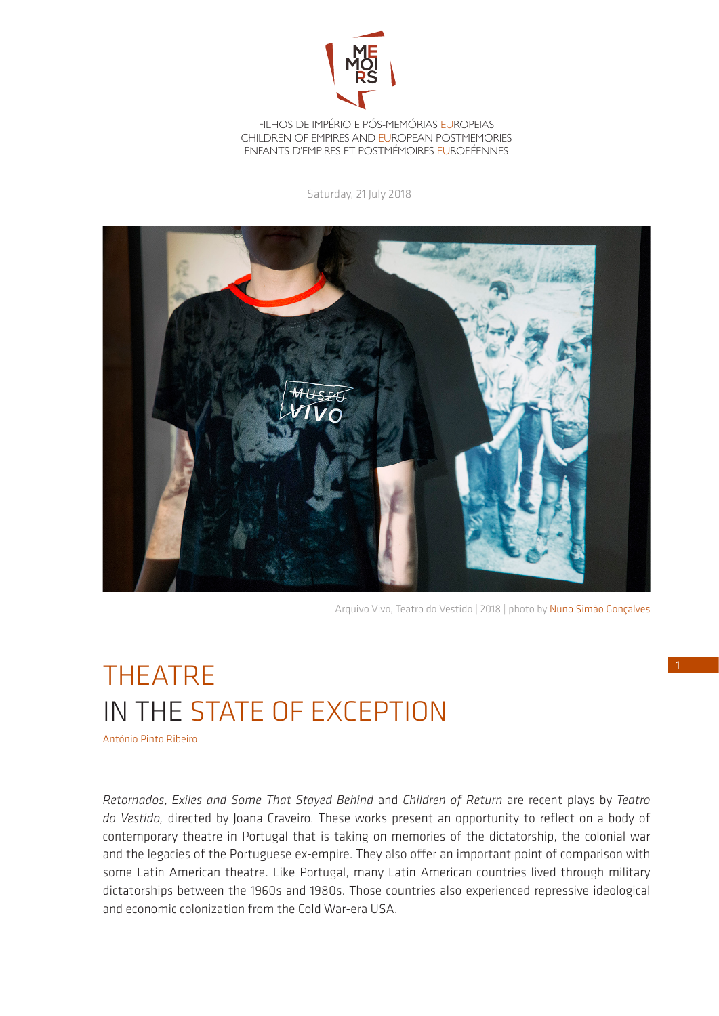

FILHOS DE IMPÉRIO E PÓS-MEMÓRIAS EUROPEIAS CHILDREN OF EMPIRES AND EUROPEAN POSTMEMORIES ENFANTS D'EMPIRES ET POSTMÉMOIRES EUROPÉENNES

Saturday, 21 July 2018



Arquivo Vivo, Teatro do Vestido | 2018 | photo by Nuno Simão Gonçalves

## THEATRE IN THE STATE OF EXCEPTION

António Pinto Ribeiro

*Retornados*, *Exiles and Some That Stayed Behind* and *Children of Return* are recent plays by *Teatro do Vestido,* directed by Joana Craveiro. These works present an opportunity to reflect on a body of contemporary theatre in Portugal that is taking on memories of the dictatorship, the colonial war and the legacies of the Portuguese ex-empire. They also offer an important point of comparison with some Latin American theatre. Like Portugal, many Latin American countries lived through military dictatorships between the 1960s and 1980s. Those countries also experienced repressive ideological and economic colonization from the Cold War-era USA.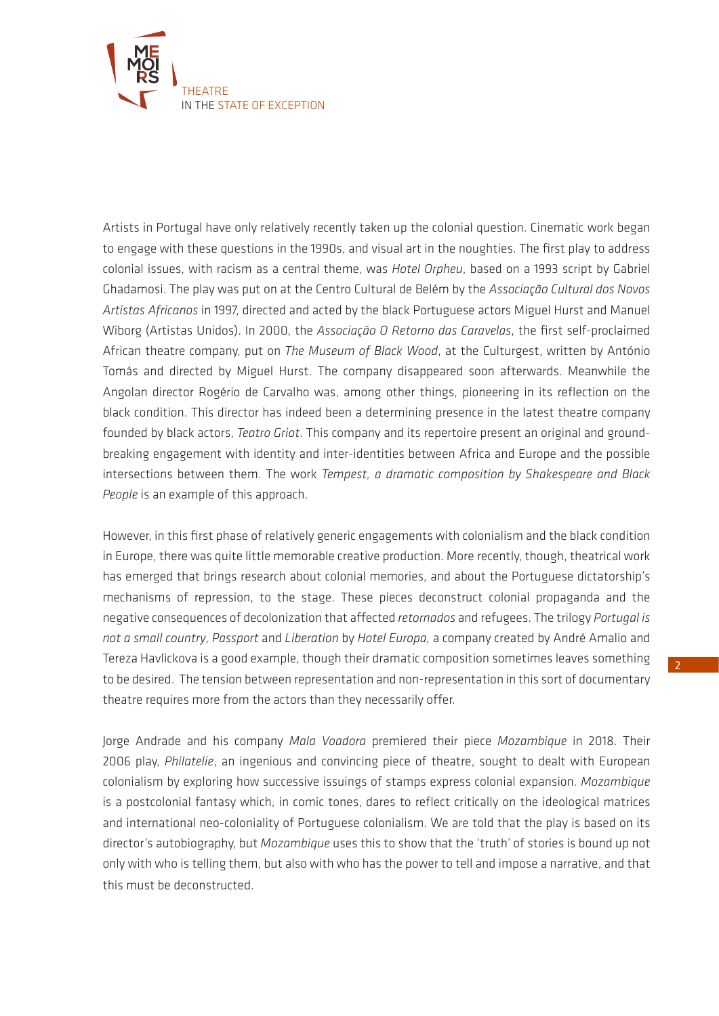

Artists in Portugal have only relatively recently taken up the colonial question. Cinematic work began to engage with these questions in the 1990s, and visual art in the noughties. The first play to address colonial issues, with racism as a central theme, was *Hotel Orpheu*, based on a 1993 script by Gabriel Ghadamosi. The play was put on at the Centro Cultural de Belém by the *Associação Cultural dos Novos Artistas Africanos* in 1997, directed and acted by the black Portuguese actors Miguel Hurst and Manuel Wiborg (Artistas Unidos). In 2000, the *Associação O Retorno das Caravelas*, the first self-proclaimed African theatre company, put on *The Museum of Black Wood*, at the Culturgest, written by António Tomás and directed by Miguel Hurst. The company disappeared soon afterwards. Meanwhile the Angolan director Rogério de Carvalho was, among other things, pioneering in its reflection on the black condition. This director has indeed been a determining presence in the latest theatre company founded by black actors, *Teatro Griot*. This company and its repertoire present an original and groundbreaking engagement with identity and inter-identities between Africa and Europe and the possible intersections between them. The work *Tempest, a dramatic composition by Shakespeare and Black People* is an example of this approach.

However, in this first phase of relatively generic engagements with colonialism and the black condition in Europe, there was quite little memorable creative production. More recently, though, theatrical work has emerged that brings research about colonial memories, and about the Portuguese dictatorship's mechanisms of repression, to the stage. These pieces deconstruct colonial propaganda and the negative consequences of decolonization that affected *retornados* and refugees. The trilogy *Portugal is not a small country*, *Passport* and *Liberation* by *Hotel Europa,* a company created by André Amalio and Tereza Havlickova is a good example, though their dramatic composition sometimes leaves something to be desired. The tension between representation and non-representation in this sort of documentary theatre requires more from the actors than they necessarily offer.

Jorge Andrade and his company *Mala Voadora* premiered their piece *Mozambique* in 2018. Their 2006 play, *Philatelie*, an ingenious and convincing piece of theatre, sought to dealt with European colonialism by exploring how successive issuings of stamps express colonial expansion. *Mozambique*  is a postcolonial fantasy which, in comic tones, dares to reflect critically on the ideological matrices and international neo-coloniality of Portuguese colonialism. We are told that the play is based on its director's autobiography, but *Mozambique* uses this to show that the 'truth' of stories is bound up not only with who is telling them, but also with who has the power to tell and impose a narrative, and that this must be deconstructed.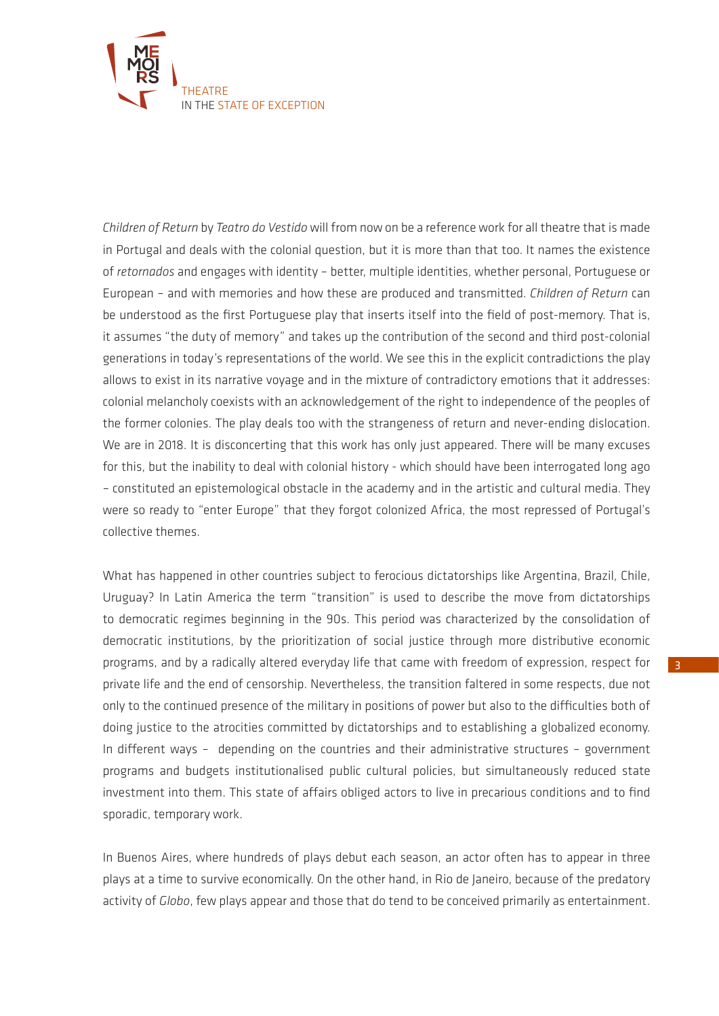

*Children of Return* by *Teatro do Vestido* will from now on be a reference work for all theatre that is made in Portugal and deals with the colonial question, but it is more than that too. It names the existence of *retornados* and engages with identity – better, multiple identities, whether personal, Portuguese or European – and with memories and how these are produced and transmitted. *Children of Return* can be understood as the first Portuguese play that inserts itself into the field of post-memory. That is, it assumes "the duty of memory" and takes up the contribution of the second and third post-colonial generations in today's representations of the world. We see this in the explicit contradictions the play allows to exist in its narrative voyage and in the mixture of contradictory emotions that it addresses: colonial melancholy coexists with an acknowledgement of the right to independence of the peoples of the former colonies. The play deals too with the strangeness of return and never-ending dislocation. We are in 2018. It is disconcerting that this work has only just appeared. There will be many excuses for this, but the inability to deal with colonial history - which should have been interrogated long ago – constituted an epistemological obstacle in the academy and in the artistic and cultural media. They were so ready to "enter Europe" that they forgot colonized Africa, the most repressed of Portugal's collective themes.

What has happened in other countries subject to ferocious dictatorships like Argentina, Brazil, Chile, Uruguay? In Latin America the term "transition" is used to describe the move from dictatorships to democratic regimes beginning in the 90s. This period was characterized by the consolidation of democratic institutions, by the prioritization of social justice through more distributive economic programs, and by a radically altered everyday life that came with freedom of expression, respect for private life and the end of censorship. Nevertheless, the transition faltered in some respects, due not only to the continued presence of the military in positions of power but also to the difficulties both of doing justice to the atrocities committed by dictatorships and to establishing a globalized economy. In different ways – depending on the countries and their administrative structures – government programs and budgets institutionalised public cultural policies, but simultaneously reduced state investment into them. This state of affairs obliged actors to live in precarious conditions and to find sporadic, temporary work.

In Buenos Aires, where hundreds of plays debut each season, an actor often has to appear in three plays at a time to survive economically. On the other hand, in Rio de Janeiro, because of the predatory activity of *Globo*, few plays appear and those that do tend to be conceived primarily as entertainment.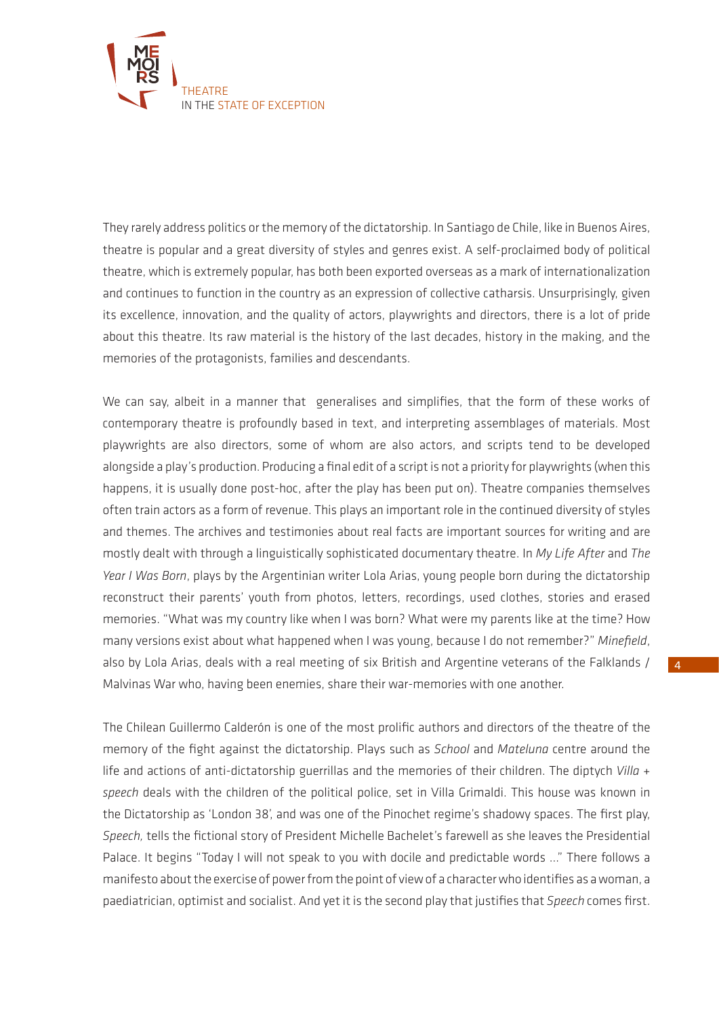

They rarely address politics or the memory of the dictatorship. In Santiago de Chile, like in Buenos Aires, theatre is popular and a great diversity of styles and genres exist. A self-proclaimed body of political theatre, which is extremely popular, has both been exported overseas as a mark of internationalization and continues to function in the country as an expression of collective catharsis. Unsurprisingly, given its excellence, innovation, and the quality of actors, playwrights and directors, there is a lot of pride about this theatre. Its raw material is the history of the last decades, history in the making, and the memories of the protagonists, families and descendants.

We can say, albeit in a manner that generalises and simplifies, that the form of these works of contemporary theatre is profoundly based in text, and interpreting assemblages of materials. Most playwrights are also directors, some of whom are also actors, and scripts tend to be developed alongside a play's production. Producing a final edit of a script is not a priority for playwrights (when this happens, it is usually done post-hoc, after the play has been put on). Theatre companies themselves often train actors as a form of revenue. This plays an important role in the continued diversity of styles and themes. The archives and testimonies about real facts are important sources for writing and are mostly dealt with through a linguistically sophisticated documentary theatre. In *My Life After* and *The Year I Was Born*, plays by the Argentinian writer Lola Arias, young people born during the dictatorship reconstruct their parents' youth from photos, letters, recordings, used clothes, stories and erased memories. "What was my country like when I was born? What were my parents like at the time? How many versions exist about what happened when I was young, because I do not remember?" *Minefield*, also by Lola Arias, deals with a real meeting of six British and Argentine veterans of the Falklands / Malvinas War who, having been enemies, share their war-memories with one another.

The Chilean Guillermo Calderón is one of the most prolific authors and directors of the theatre of the memory of the fight against the dictatorship. Plays such as *School* and *Mateluna* centre around the life and actions of anti-dictatorship guerrillas and the memories of their children. The diptych *Villa + speech* deals with the children of the political police, set in Villa Grimaldi. This house was known in the Dictatorship as 'London 38', and was one of the Pinochet regime's shadowy spaces. The first play, *Speech,* tells the fictional story of President Michelle Bachelet's farewell as she leaves the Presidential Palace. It begins "Today I will not speak to you with docile and predictable words ..." There follows a manifesto about the exercise of power from the point of view of a character who identifies as a woman, a paediatrician, optimist and socialist. And yet it is the second play that justifies that *Speech* comes first.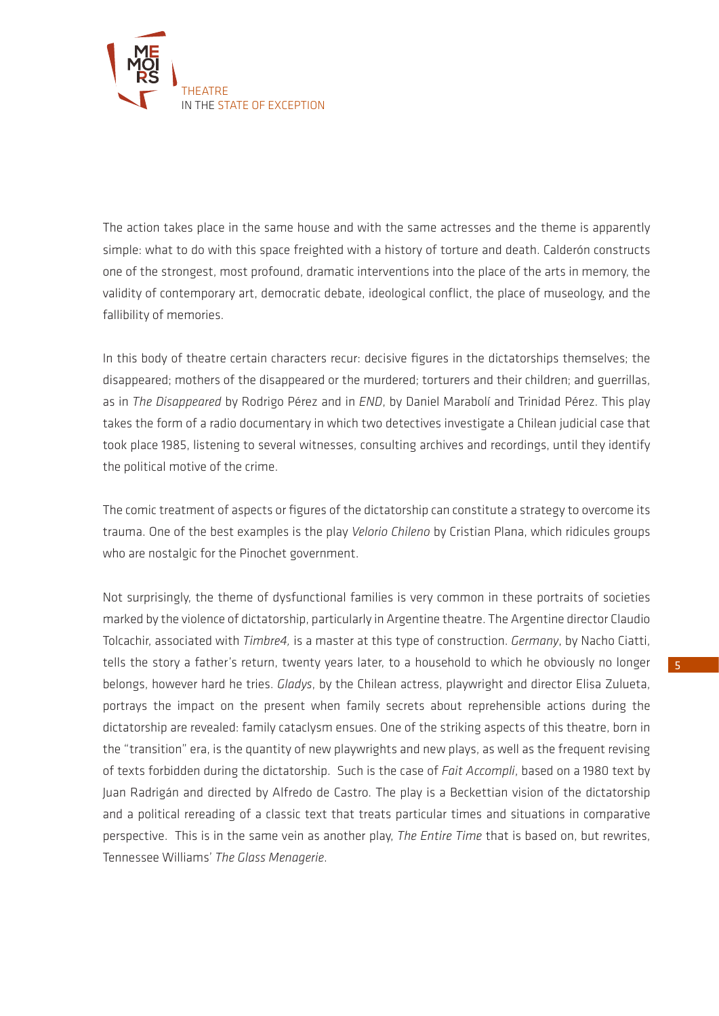

The action takes place in the same house and with the same actresses and the theme is apparently simple: what to do with this space freighted with a history of torture and death. Calderón constructs one of the strongest, most profound, dramatic interventions into the place of the arts in memory, the validity of contemporary art, democratic debate, ideological conflict, the place of museology, and the fallibility of memories.

In this body of theatre certain characters recur: decisive figures in the dictatorships themselves; the disappeared; mothers of the disappeared or the murdered; torturers and their children; and guerrillas, as in *The Disappeared* by Rodrigo Pérez and in *END*, by Daniel Marabolí and Trinidad Pérez. This play takes the form of a radio documentary in which two detectives investigate a Chilean judicial case that took place 1985, listening to several witnesses, consulting archives and recordings, until they identify the political motive of the crime.

The comic treatment of aspects or figures of the dictatorship can constitute a strategy to overcome its trauma. One of the best examples is the play *Velorio Chileno* by Cristian Plana, which ridicules groups who are nostalgic for the Pinochet government.

Not surprisingly, the theme of dysfunctional families is very common in these portraits of societies marked by the violence of dictatorship, particularly in Argentine theatre. The Argentine director Claudio Tolcachir, associated with *Timbre4,* is a master at this type of construction. *Germany*, by Nacho Ciatti, tells the story a father's return, twenty years later, to a household to which he obviously no longer belongs, however hard he tries. *Gladys*, by the Chilean actress, playwright and director Elisa Zulueta, portrays the impact on the present when family secrets about reprehensible actions during the dictatorship are revealed: family cataclysm ensues. One of the striking aspects of this theatre, born in the "transition" era, is the quantity of new playwrights and new plays, as well as the frequent revising of texts forbidden during the dictatorship. Such is the case of *Fait Accompli*, based on a 1980 text by Juan Radrigán and directed by Alfredo de Castro. The play is a Beckettian vision of the dictatorship and a political rereading of a classic text that treats particular times and situations in comparative perspective. This is in the same vein as another play, *The Entire Time* that is based on, but rewrites, Tennessee Williams' *The Glass Menagerie*.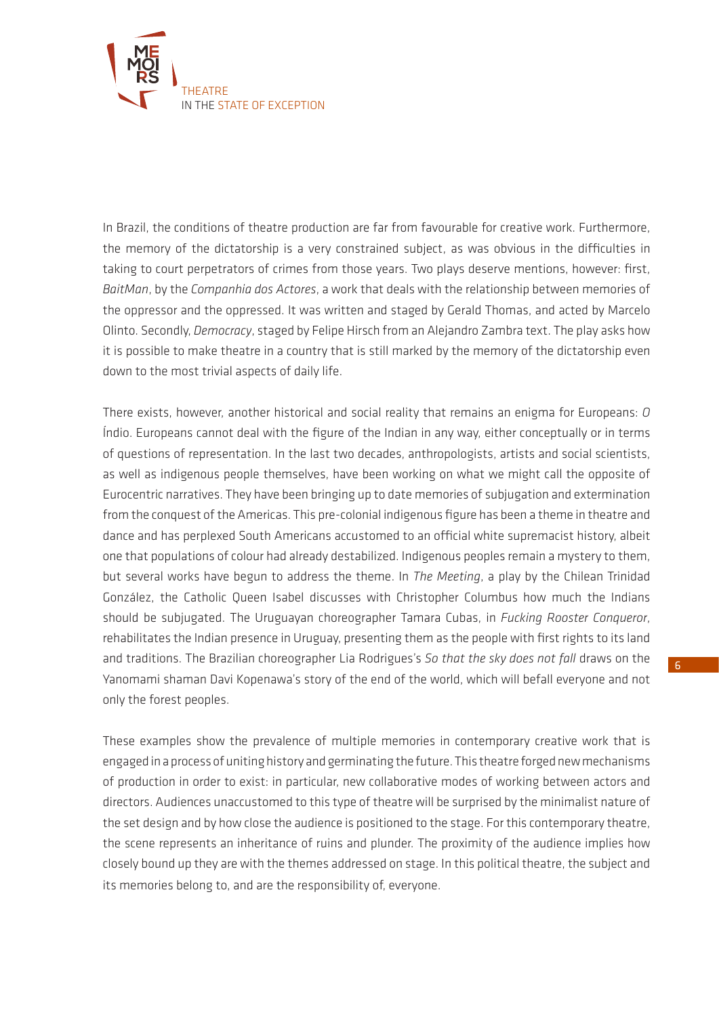

In Brazil, the conditions of theatre production are far from favourable for creative work. Furthermore, the memory of the dictatorship is a very constrained subject, as was obvious in the difficulties in taking to court perpetrators of crimes from those years. Two plays deserve mentions, however: first, *BaitMan*, by the *Companhia dos Actores*, a work that deals with the relationship between memories of the oppressor and the oppressed. It was written and staged by Gerald Thomas, and acted by Marcelo Olinto. Secondly, *Democracy*, staged by Felipe Hirsch from an Alejandro Zambra text. The play asks how it is possible to make theatre in a country that is still marked by the memory of the dictatorship even down to the most trivial aspects of daily life.

There exists, however, another historical and social reality that remains an enigma for Europeans: *O*  Índio. Europeans cannot deal with the figure of the Indian in any way, either conceptually or in terms of questions of representation. In the last two decades, anthropologists, artists and social scientists, as well as indigenous people themselves, have been working on what we might call the opposite of Eurocentric narratives. They have been bringing up to date memories of subjugation and extermination from the conquest of the Americas. This pre-colonial indigenous figure has been a theme in theatre and dance and has perplexed South Americans accustomed to an official white supremacist history, albeit one that populations of colour had already destabilized. Indigenous peoples remain a mystery to them, but several works have begun to address the theme. In *The Meeting*, a play by the Chilean Trinidad González, the Catholic Queen Isabel discusses with Christopher Columbus how much the Indians should be subjugated. The Uruguayan choreographer Tamara Cubas, in *Fucking Rooster Conqueror*, rehabilitates the Indian presence in Uruguay, presenting them as the people with first rights to its land and traditions. The Brazilian choreographer Lia Rodrigues's *So that the sky does not fall* draws on the Yanomami shaman Davi Kopenawa's story of the end of the world, which will befall everyone and not only the forest peoples.

These examples show the prevalence of multiple memories in contemporary creative work that is engaged in a process of uniting history and germinating the future. This theatre forged new mechanisms of production in order to exist: in particular, new collaborative modes of working between actors and directors. Audiences unaccustomed to this type of theatre will be surprised by the minimalist nature of the set design and by how close the audience is positioned to the stage. For this contemporary theatre, the scene represents an inheritance of ruins and plunder. The proximity of the audience implies how closely bound up they are with the themes addressed on stage. In this political theatre, the subject and its memories belong to, and are the responsibility of, everyone.